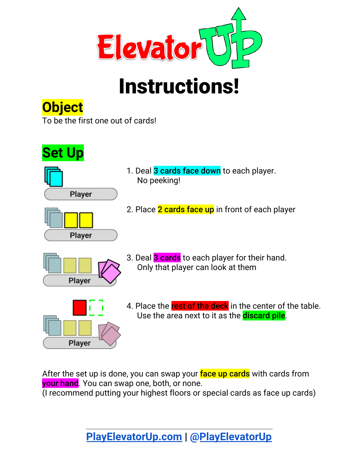

# Instructions!

# **Object**

To be the first one out of cards!







- 1. Deal 3 cards face down to each player. No peeking!
- 2. Place 2 cards face up in front of each player



3. Deal 3 cards to each player for their hand. Only that player can look at them



4. Place the rest of the deck in the center of the table. Use the area next to it as the **discard pile**.

After the set up is done, you can swap your face up cards with cards from your hand. You can swap one, both, or none.

(I recommend putting your highest floors or special cards as face up cards)

**[PlayElevatorUp.com](http://playelevatorup.com/) | [@PlayElevatorUp](http://instagram.com/playelevatorup)**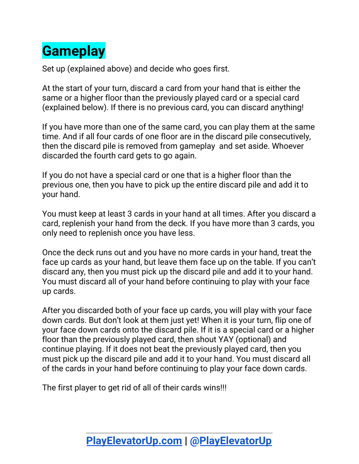# **Gameplay**

Set up (explained above) and decide who goes first.

At the start of your turn, discard a card from your hand that is either the same or a higher floor than the previously played card or a special card (explained below). If there is no previous card, you can discard anything!

If you have more than one of the same card, you can play them at the same time. And if all four cards of one floor are in the discard pile consecutively, then the discard pile is removed from gameplay and set aside. Whoever discarded the fourth card gets to go again.

If you do not have a special card or one that is a higher floor than the previous one, then you have to pick up the entire discard pile and add it to your hand.

You must keep at least 3 cards in your hand at all times. After you discard a card, replenish your hand from the deck. If you have more than 3 cards, you only need to replenish once you have less.

Once the deck runs out and you have no more cards in your hand, treat the face up cards as your hand, but leave them face up on the table. If you can't discard any, then you must pick up the discard pile and add it to your hand. You must discard all of your hand before continuing to play with your face up cards.

After you discarded both of your face up cards, you will play with your face down cards. But don't look at them just yet! When it is your turn, flip one of your face down cards onto the discard pile. If it is a special card or a higher floor than the previously played card, then shout YAY (optional) and continue playing. If it does not beat the previously played card, then you must pick up the discard pile and add it to your hand. You must discard all of the cards in your hand before continuing to play your face down cards.

The first player to get rid of all of their cards wins!!!